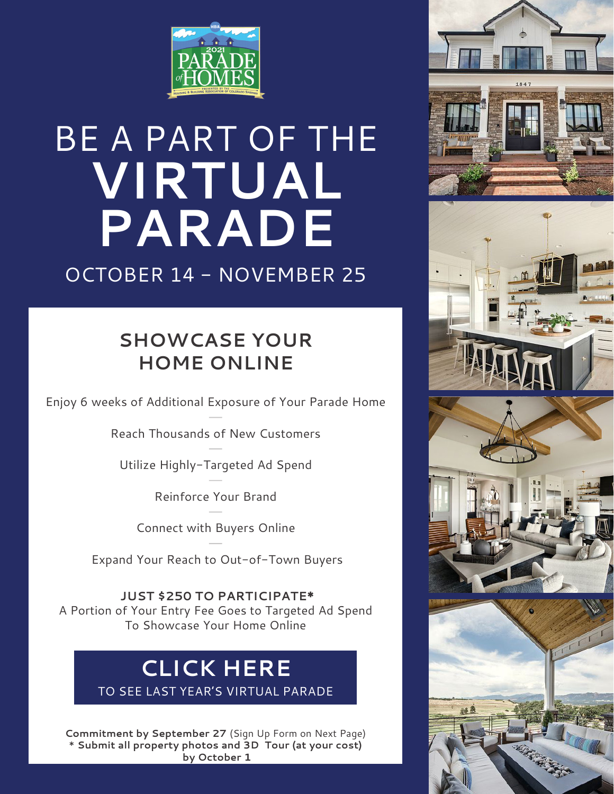

# BE A PART OF THE **VIRTUAL PARADE**

### OCTOBER 14 - NOVEMBER 25

#### **SHOWCASE YOUR HOME ONLINE**

Enjoy 6 weeks of Additional Exposure of Your Parade Home

Reach Thousands of New Customers

Utilize Highly-Targeted Ad Spend

Reinforce Your Brand

Connect with Buyers Online

Expand Your Reach to Out-of-Town Buyers

**JUST \$250 TO PARTICIPATE\*** A Portion of Your Entry Fee Goes to Targeted Ad Spend To Showcase Your Home Online

#### **CLICK HERE**  TO SEE LAST YEAR'S VIRTUAL PARADE

**Commitment by September 27** (Sign Up Form on Next Page) \* **Submit all property photos and 3D Tour (at your cost) by October 1**